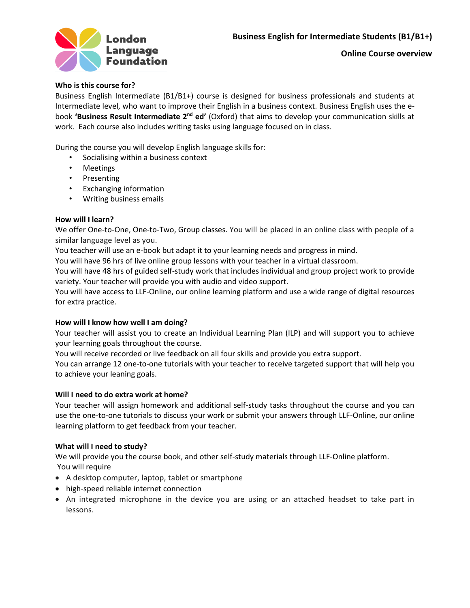

# **Who is this course for?**

Business English Intermediate (B1/B1+) course is designed for business professionals and students at Intermediate level, who want to improve their English in a business context. Business English uses the ebook 'Business Result Intermediate 2<sup>nd</sup> ed' (Oxford) that aims to develop your communication skills at work. Each course also includes writing tasks using language focused on in class.

During the course you will develop English language skills for:

- Socialising within a business context
- Meetings
- Presenting
- Exchanging information
- Writing business emails

# **How will I learn?**

We offer One-to-One, One-to-Two, Group classes. You will be placed in an online class with people of a similar language level as you.

You teacher will use an e-book but adapt it to your learning needs and progress in mind.

You will have 96 hrs of live online group lessons with your teacher in a virtual classroom.

You will have 48 hrs of guided self-study work that includes individual and group project work to provide variety. Your teacher will provide you with audio and video support.

You will have access to LLF-Online, our online learning platform and use a wide range of digital resources for extra practice.

# **How will I know how well I am doing?**

Your teacher will assist you to create an Individual Learning Plan (ILP) and will support you to achieve your learning goals throughout the course.

You will receive recorded or live feedback on all four skills and provide you extra support.

You can arrange 12 one-to-one tutorials with your teacher to receive targeted support that will help you to achieve your leaning goals.

# **Will I need to do extra work at home?**

Your teacher will assign homework and additional self-study tasks throughout the course and you can use the one-to-one tutorials to discuss your work or submit your answers through LLF-Online, our online learning platform to get feedback from your teacher.

# **What will I need to study?**

We will provide you the course book, and other self-study materials through LLF-Online platform. You will require

- A desktop computer, laptop, tablet or smartphone
- high-speed reliable internet connection
- An integrated microphone in the device you are using or an attached headset to take part in lessons.